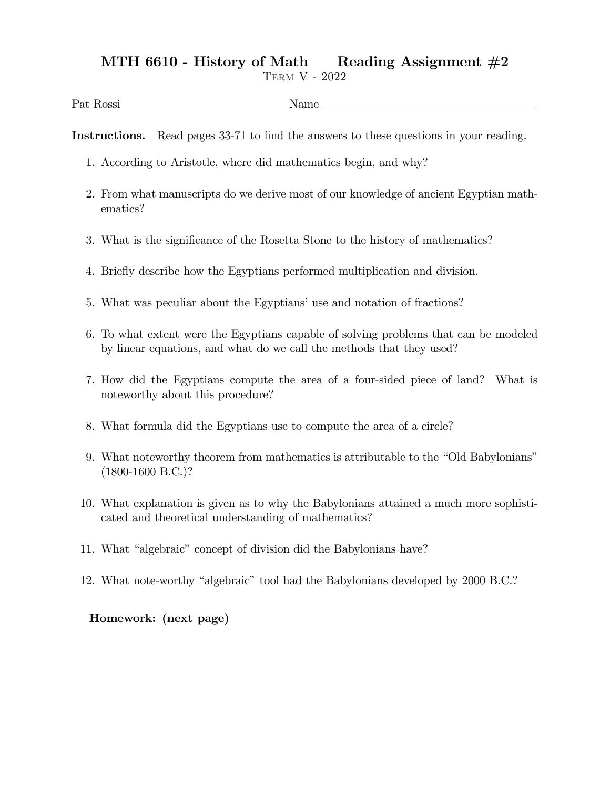## MTH 6610 - History of Math Reading Assignment  $#2$

Term V - 2022

Pat Rossi Name

Instructions. Read pages 33-71 to find the answers to these questions in your reading.

- 1. According to Aristotle, where did mathematics begin, and why?
- 2. From what manuscripts do we derive most of our knowledge of ancient Egyptian mathematics?
- 3. What is the significance of the Rosetta Stone to the history of mathematics?
- 4. Brieáy describe how the Egyptians performed multiplication and division.
- 5. What was peculiar about the Egyptians' use and notation of fractions?
- 6. To what extent were the Egyptians capable of solving problems that can be modeled by linear equations, and what do we call the methods that they used?
- 7. How did the Egyptians compute the area of a four-sided piece of land? What is noteworthy about this procedure?
- 8. What formula did the Egyptians use to compute the area of a circle?
- 9. What noteworthy theorem from mathematics is attributable to the "Old Babylonians" (1800-1600 B.C.)?
- 10. What explanation is given as to why the Babylonians attained a much more sophisticated and theoretical understanding of mathematics?
- 11. What "algebraic" concept of division did the Babylonians have?
- 12. What note-worthy "algebraic" tool had the Babylonians developed by 2000 B.C.?

## Homework: (next page)